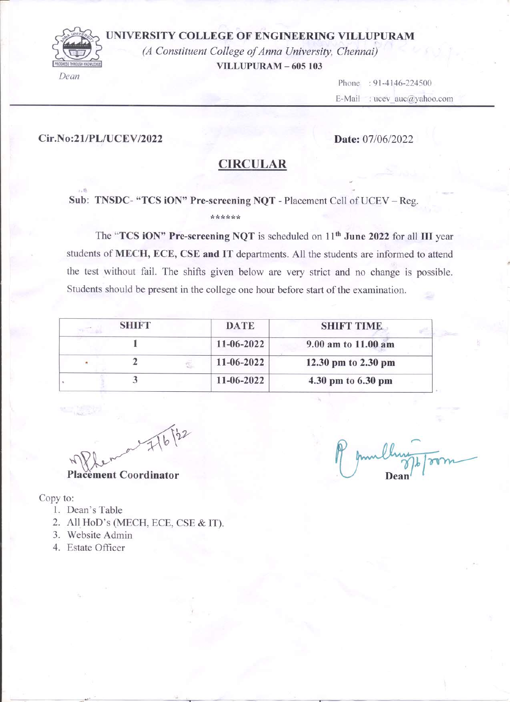### UNIVERSITY COLLEGE OF ENGINEERING VILLUPURAM



(A Constituent College of Anna University, Chennai) **VILLUPURAM - 605 103** 

> Phone: 91-4146-224500 : ucev  $auc@yahoo.com$ E-Mail

#### Cir.No:21/PL/UCEV/2022

### Date: 07/06/2022

## **CIRCULAR**

### Sub: TNSDC- "TCS iON" Pre-screening NQT - Placement Cell of UCEV - Reg. \*\*\*\*\*\*

The "TCS iON" Pre-screening NQT is scheduled on 11<sup>th</sup> June 2022 for all III year students of MECH, ECE, CSE and IT departments. All the students are informed to attend the test without fail. The shifts given below are very strict and no change is possible. Students should be present in the college one hour before start of the examination.

| <b>SHIFT</b> | <b>DATE</b>      | <b>SHIFT TIME</b>   |
|--------------|------------------|---------------------|
|              | 11-06-2022       | 9.00 am to 11.00 am |
|              | 11-06-2022       | 12.30 pm to 2.30 pm |
|              | $11 - 06 - 2022$ | 4.30 pm to 6.30 pm  |

 $122$  $\tilde{\lambda}$ **Placement Coordinator** 

Copy to:

- 1. Dean's Table
- 2. All HoD's (MECH, ECE, CSE & IT).
- 3. Website Admin
- 4. Estate Officer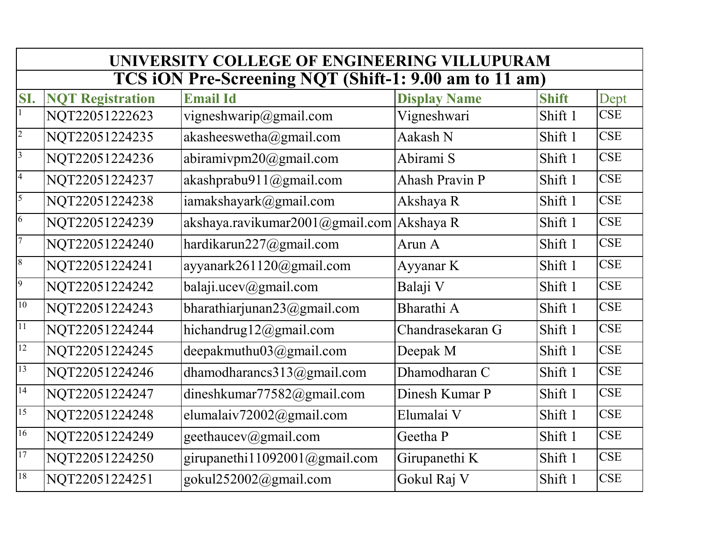|                          | UNIVERSITY COLLEGE OF ENGINEERING VILLUPURAM |                                                       |                       |              |            |  |  |
|--------------------------|----------------------------------------------|-------------------------------------------------------|-----------------------|--------------|------------|--|--|
|                          |                                              | TCS iON Pre-Screening NQT (Shift-1: 9.00 am to 11 am) |                       |              |            |  |  |
| SI.                      | <b>NQT Registration</b>                      | <b>Email Id</b>                                       | <b>Display Name</b>   | <b>Shift</b> | Dept       |  |  |
|                          | NQT22051222623                               | vigneshwarip@gmail.com                                | Vigneshwari           | Shift 1      | <b>CSE</b> |  |  |
| $\overline{c}$           | NQT22051224235                               | akasheeswetha@gmail.com                               | Aakash N              | Shift 1      | <b>CSE</b> |  |  |
| $\overline{\mathbf{3}}$  | NQT22051224236                               | abiramivpm20@gmail.com                                | Abirami S             | Shift 1      | <b>CSE</b> |  |  |
| $\overline{\mathcal{L}}$ | NQT22051224237                               | akashprabu911@gmail.com                               | <b>Ahash Pravin P</b> | Shift 1      | <b>CSE</b> |  |  |
| 5                        | NQT22051224238                               | iamakshayark@gmail.com                                | Akshaya R             | Shift 1      | <b>CSE</b> |  |  |
| $\overline{6}$           | NQT22051224239                               | akshaya.ravikumar2001@gmail.com Akshaya R             |                       | Shift 1      | <b>CSE</b> |  |  |
| $\overline{7}$           | NQT22051224240                               | hardikarun227@gmail.com                               | Arun A                | Shift 1      | <b>CSE</b> |  |  |
| $\boldsymbol{8}$         | NQT22051224241                               | ayyanark261120@gmail.com                              | Ayyanar K             | Shift 1      | <b>CSE</b> |  |  |
| $\overline{9}$           | NQT22051224242                               | balaji.ucev@gmail.com                                 | Balaji V              | Shift 1      | <b>CSE</b> |  |  |
| 10                       | NQT22051224243                               | bharathiarjunan $23$ @gmail.com                       | Bharathi A            | Shift 1      | <b>CSE</b> |  |  |
| 11                       | NQT22051224244                               | hichandrug12@gmail.com                                | Chandrasekaran G      | Shift 1      | <b>CSE</b> |  |  |
| 12                       | NQT22051224245                               | deepakmuthu03@gmail.com                               | Deepak M              | Shift 1      | <b>CSE</b> |  |  |
| 13                       | NQT22051224246                               | dhamodharancs313@gmail.com                            | Dhamodharan C         | Shift 1      | <b>CSE</b> |  |  |
| 14                       | NQT22051224247                               | dineshkumar77582@gmail.com                            | Dinesh Kumar P        | Shift 1      | <b>CSE</b> |  |  |
| 15                       | NQT22051224248                               | elumalaiv72002@gmail.com                              | Elumalai V            | Shift 1      | <b>CSE</b> |  |  |
| 16                       | NQT22051224249                               | geethaucev@gmail.com                                  | Geetha P              | Shift 1      | <b>CSE</b> |  |  |
| 17                       | NQT22051224250                               | girupanethi11092001@gmail.com                         | Girupanethi K         | Shift 1      | <b>CSE</b> |  |  |
| 18                       | NQT22051224251                               | gokul252002@gmail.com                                 | Gokul Raj V           | Shift 1      | <b>CSE</b> |  |  |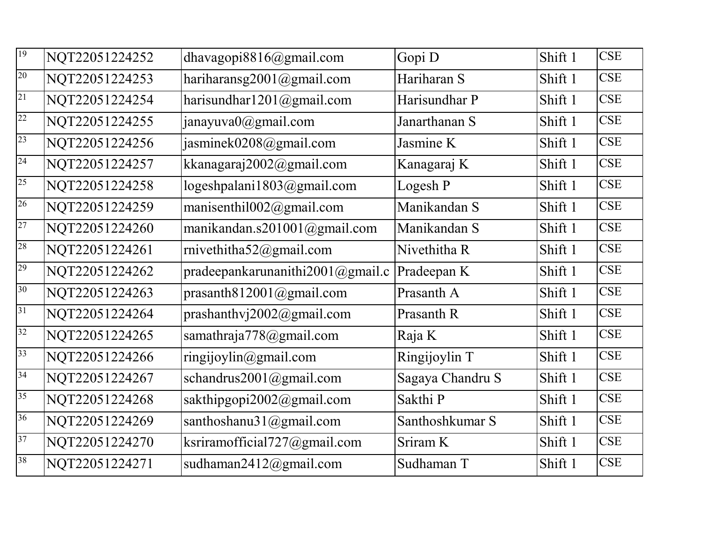| 19              | NQT22051224252 | dhavagopi $8816$ @gmail.com      | Gopi D           | Shift 1 | <b>CSE</b> |
|-----------------|----------------|----------------------------------|------------------|---------|------------|
| 20              | NQT22051224253 | hariharansg2001@gmail.com        | Hariharan S      | Shift 1 | <b>CSE</b> |
| 21              | NQT22051224254 | harisundhar $1201$ @gmail.com    | Harisundhar P    | Shift 1 | <b>CSE</b> |
| 22              | NQT22051224255 | janayuva0@gmail.com              | Janarthanan S    | Shift 1 | <b>CSE</b> |
| 23              | NQT22051224256 | jasminek0208@gmail.com           | Jasmine K        | Shift 1 | <b>CSE</b> |
| 24              | NQT22051224257 | kkanagaraj2002@gmail.com         | Kanagaraj K      | Shift 1 | <b>CSE</b> |
| $\overline{25}$ | NQT22051224258 | logeshpalani1803@gmail.com       | Logesh P         | Shift 1 | <b>CSE</b> |
| 26              | NQT22051224259 | manisenthil $002$ @gmail.com     | Manikandan S     | Shift 1 | <b>CSE</b> |
| 27              | NQT22051224260 | manikandan.s201001@gmail.com     | Manikandan S     | Shift 1 | <b>CSE</b> |
| 28              | NQT22051224261 | rnivethitha52@gmail.com          | Nivethitha R     | Shift 1 | <b>CSE</b> |
| 29              | NQT22051224262 | pradeepankarunanithi2001@gmail.c | Pradeepan K      | Shift 1 | <b>CSE</b> |
| 30              | NQT22051224263 | prasanth $812001@g$ mail.com     | Prasanth A       | Shift 1 | <b>CSE</b> |
| 31              | NQT22051224264 | prashanthvj $2002$ @gmail.com    | Prasanth R       | Shift 1 | <b>CSE</b> |
| 32              | NQT22051224265 | samathraja778@gmail.com          | Raja K           | Shift 1 | <b>CSE</b> |
| 33              | NQT22051224266 | ringijoylin@gmail.com            | Ringijoylin T    | Shift 1 | <b>CSE</b> |
| 34              | NQT22051224267 | schandrus2001@gmail.com          | Sagaya Chandru S | Shift 1 | <b>CSE</b> |
| 35              | NQT22051224268 | sakthipgopi2002@gmail.com        | Sakthi P         | Shift 1 | <b>CSE</b> |
| 36              | NQT22051224269 | santhoshanu31@gmail.com          | Santhoshkumar S  | Shift 1 | <b>CSE</b> |
| 37              | NQT22051224270 | ksriramofficial727@gmail.com     | Sriram K         | Shift 1 | <b>CSE</b> |
| 38              | NQT22051224271 | sudhaman2412@gmail.com           | Sudhaman T       | Shift 1 | <b>CSE</b> |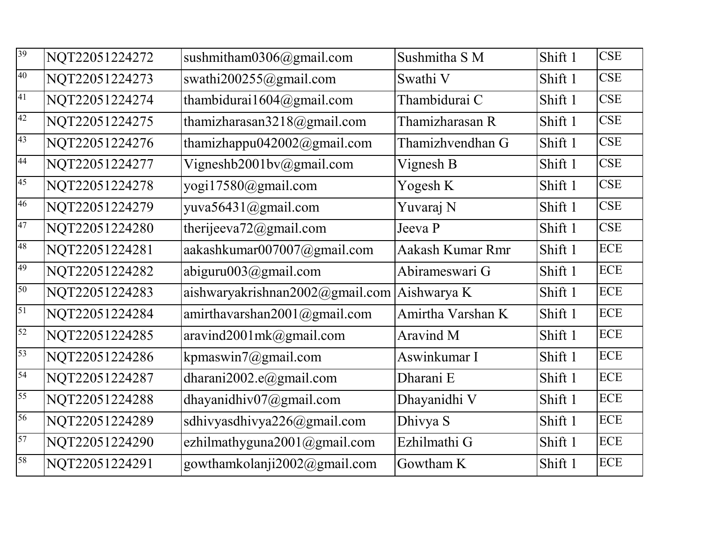| 39 | NQT22051224272 | sushmitham $0306$ @gmail.com    | Sushmitha S M     | Shift 1 | <b>CSE</b> |
|----|----------------|---------------------------------|-------------------|---------|------------|
| 40 | NQT22051224273 | swathi200255@gmail.com          | Swathi V          | Shift 1 | <b>CSE</b> |
| 41 | NQT22051224274 | thambidurai1604@gmail.com       | Thambidurai C     | Shift 1 | <b>CSE</b> |
| 42 | NQT22051224275 | thamizharasan3218@gmail.com     | Thamizharasan R   | Shift 1 | <b>CSE</b> |
| 43 | NQT22051224276 | thamizhappu042002@gmail.com     | Thamizhvendhan G  | Shift 1 | <b>CSE</b> |
| 44 | NQT22051224277 | Vigneshb2001bv@gmail.com        | Vignesh B         | Shift 1 | <b>CSE</b> |
| 45 | NQT22051224278 | yogi17580@gmail.com             | Yogesh K          | Shift 1 | <b>CSE</b> |
| 46 | NQT22051224279 | yuva56431@gmail.com             | Yuvaraj N         | Shift 1 | <b>CSE</b> |
| 47 | NQT22051224280 | therijeeva $72$ @gmail.com      | Jeeva P           | Shift 1 | <b>CSE</b> |
| 48 | NQT22051224281 | aakashkumar007007@gmail.com     | Aakash Kumar Rmr  | Shift 1 | <b>ECE</b> |
| 49 | NQT22051224282 | abiguru003@gmail.com            | Abirameswari G    | Shift 1 | <b>ECE</b> |
| 50 | NQT22051224283 | aishwaryakrishnan2002@gmail.com | Aishwarya K       | Shift 1 | <b>ECE</b> |
| 51 | NQT22051224284 | amirthavarshan2001@gmail.com    | Amirtha Varshan K | Shift 1 | <b>ECE</b> |
| 52 | NQT22051224285 | aravind2001mk@gmail.com         | Aravind M         | Shift 1 | <b>ECE</b> |
| 53 | NQT22051224286 | kpmaswin7@gmail.com             | Aswinkumar I      | Shift 1 | <b>ECE</b> |
| 54 | NQT22051224287 | dharani2002.e@gmail.com         | Dharani E         | Shift 1 | <b>ECE</b> |
| 55 | NQT22051224288 | dhayanidhiv07@gmail.com         | Dhayanidhi V      | Shift 1 | <b>ECE</b> |
| 56 | NQT22051224289 | sdhivyasdhivya226@gmail.com     | Dhivya S          | Shift 1 | <b>ECE</b> |
| 57 | NQT22051224290 | ezhilmathyguna2001@gmail.com    | Ezhilmathi G      | Shift 1 | <b>ECE</b> |
| 58 | NQT22051224291 | gowthamkolanji2002@gmail.com    | Gowtham K         | Shift 1 | <b>ECE</b> |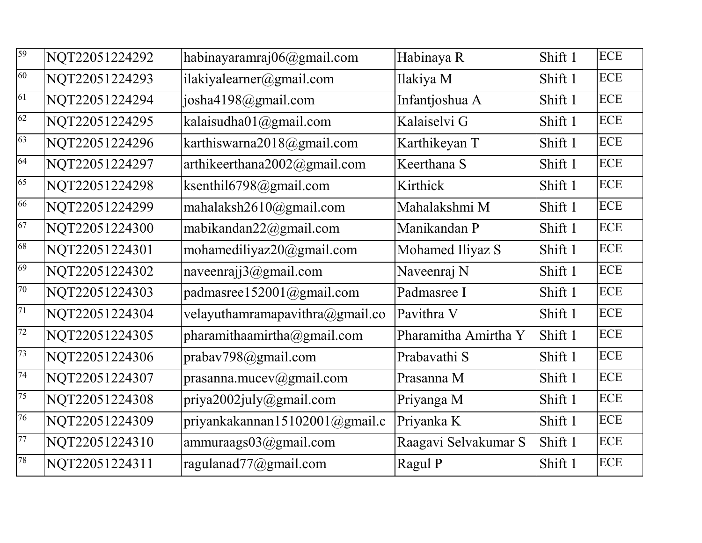| 59 | NQT22051224292 | habinayaramraj06@gmail.com          | Habinaya R           | Shift 1 | <b>ECE</b> |
|----|----------------|-------------------------------------|----------------------|---------|------------|
| 60 | NQT22051224293 | ilakiyalearner@gmail.com            | Ilakiya M            | Shift 1 | <b>ECE</b> |
| 61 | NQT22051224294 | josha4198@gmail.com                 | Infantjoshua A       | Shift 1 | <b>ECE</b> |
| 62 | NQT22051224295 | kalaisudha01@gmail.com              | Kalaiselvi G         | Shift 1 | <b>ECE</b> |
| 63 | NQT22051224296 | karthiswarna2018@gmail.com          | Karthikeyan T        | Shift 1 | <b>ECE</b> |
| 64 | NQT22051224297 | arthikeerthana2002@gmail.com        | Keerthana S          | Shift 1 | <b>ECE</b> |
| 65 | NQT22051224298 | ksenthil6798@gmail.com              | Kirthick             | Shift 1 | <b>ECE</b> |
| 66 | NQT22051224299 | mahalaksh2610@gmail.com             | Mahalakshmi M        | Shift 1 | <b>ECE</b> |
| 67 | NQT22051224300 | mabikandan22@gmail.com              | Manikandan P         | Shift 1 | <b>ECE</b> |
| 68 | NQT22051224301 | mohamediliyaz20@gmail.com           | Mohamed Iliyaz S     | Shift 1 | <b>ECE</b> |
| 69 | NQT22051224302 | naveenrajj3@gmail.com               | Naveenraj N          | Shift 1 | <b>ECE</b> |
| 70 | NQT22051224303 | padmasree152001@gmail.com           | Padmasree I          | Shift 1 | <b>ECE</b> |
| 71 | NQT22051224304 | velayuthamramapavithra $@g$ mail.co | Pavithra V           | Shift 1 | <b>ECE</b> |
| 72 | NQT22051224305 | pharamithaamirtha@gmail.com         | Pharamitha Amirtha Y | Shift 1 | <b>ECE</b> |
| 73 | NQT22051224306 | prabav798@gmail.com                 | Prabavathi S         | Shift 1 | <b>ECE</b> |
| 74 | NQT22051224307 | prasanna.mucev@gmail.com            | Prasanna M           | Shift 1 | <b>ECE</b> |
| 75 | NQT22051224308 | priya2002july@gmail.com             | Priyanga M           | Shift 1 | <b>ECE</b> |
| 76 | NQT22051224309 | priyankakannan15102001@gmail.c      | Priyanka K           | Shift 1 | <b>ECE</b> |
| 77 | NQT22051224310 | ammuraags03@gmail.com               | Raagavi Selvakumar S | Shift 1 | <b>ECE</b> |
| 78 | NQT22051224311 | ragulanad77@gmail.com               | Ragul P              | Shift 1 | <b>ECE</b> |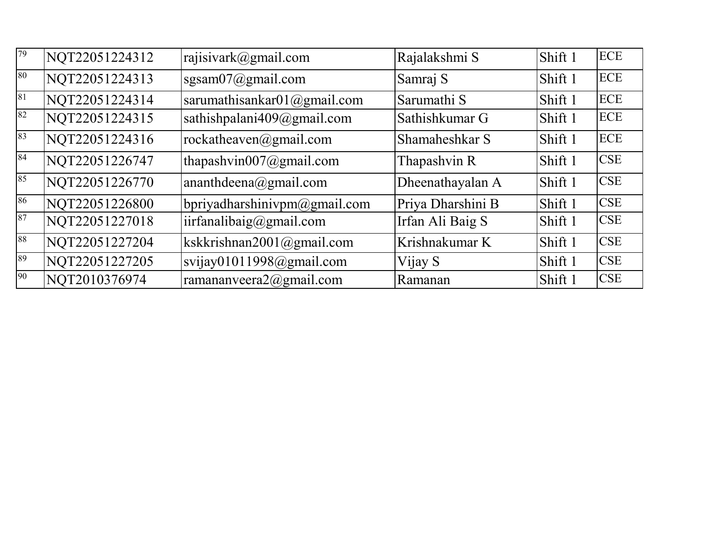| 79 | NQT22051224312 | rajisivark@gmail.com            | Rajalakshmi S     | Shift 1 | <b>ECE</b> |
|----|----------------|---------------------------------|-------------------|---------|------------|
| 80 | NQT22051224313 | sgsam $07$ @gmail.com           | Samraj S          | Shift 1 | <b>ECE</b> |
| 81 | NQT22051224314 | sarumathisankar $01$ @gmail.com | Sarumathi S       | Shift 1 | <b>ECE</b> |
| 82 | NQT22051224315 | sathishpalani409@gmail.com      | Sathishkumar G    | Shift 1 | <b>ECE</b> |
| 83 | NQT22051224316 | rockatheaven@gmail.com          | Shamaheshkar S    | Shift 1 | <b>ECE</b> |
| 84 | NQT22051226747 | thapashvin007@gmail.com         | Thapashvin R      | Shift 1 | <b>CSE</b> |
| 85 | NQT22051226770 | ananthdeena@gmail.com           | Dheenathayalan A  | Shift 1 | <b>CSE</b> |
| 86 | NQT22051226800 | bpriyadharshinivpm@gmail.com    | Priya Dharshini B | Shift 1 | <b>CSE</b> |
| 87 | NQT22051227018 | iirfanalibaig@gmail.com         | Irfan Ali Baig S  | Shift 1 | <b>CSE</b> |
| 88 | NQT22051227204 | kskkrishnan2001@gmail.com       | Krishnakumar K    | Shift 1 | <b>CSE</b> |
| 89 | NQT22051227205 | svijay01011998@gmail.com        | Vijay S           | Shift 1 | <b>CSE</b> |
| 90 | NQT2010376974  | ramananveera $2@g$ mail.com     | Ramanan           | Shift 1 | <b>CSE</b> |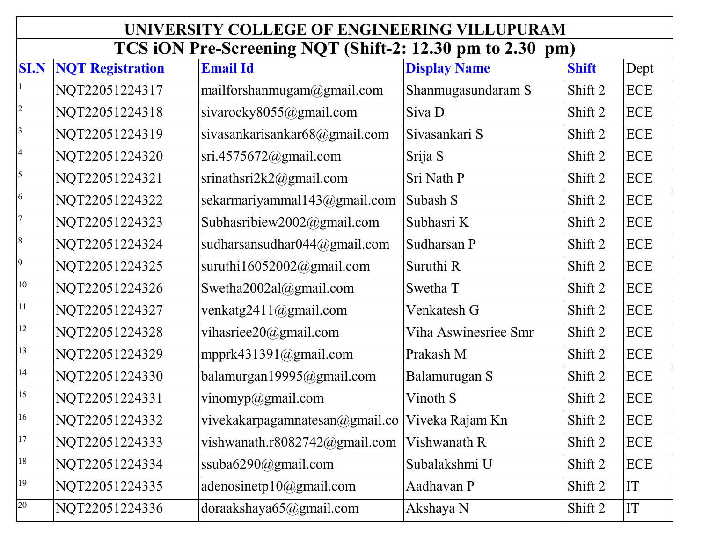|                         | UNIVERSITY COLLEGE OF ENGINEERING VILLUPURAM |                                                      |                      |              |            |  |
|-------------------------|----------------------------------------------|------------------------------------------------------|----------------------|--------------|------------|--|
|                         |                                              | TCS iON Pre-Screening NQT (Shift-2: 12.30 pm to 2.30 |                      | pm)          |            |  |
| <b>SI.N</b>             | <b>NQT Registration</b>                      | <b>Email Id</b>                                      | <b>Display Name</b>  | <b>Shift</b> | Dept       |  |
|                         | NQT22051224317                               | mailforshanmugam@gmail.com                           | Shanmugasundaram S   | Shift 2      | <b>ECE</b> |  |
| $\overline{c}$          | NQT22051224318                               | sivarocky8055@gmail.com                              | Siva D               | Shift 2      | <b>ECE</b> |  |
| $\overline{\mathbf{3}}$ | NQT22051224319                               | sivasankarisankar68@gmail.com                        | Sivasankari S        | Shift 2      | <b>ECE</b> |  |
| $\overline{a}$          | NQT22051224320                               | $sri.4575672$ @gmail.com                             | Srija S              | Shift 2      | <b>ECE</b> |  |
| $\overline{\mathbf{5}}$ | NQT22051224321                               | srinathsri $2k2@g$ mail.com                          | Sri Nath P           | Shift 2      | <b>ECE</b> |  |
| $\vert 6 \vert$         | NQT22051224322                               | sekarmariyammal143@gmail.com                         | Subash S             | Shift 2      | <b>ECE</b> |  |
| $\overline{7}$          | NQT22051224323                               | Subhasribiew2002@gmail.com                           | Subhasri K           | Shift 2      | <b>ECE</b> |  |
| $\,8$                   | NQT22051224324                               | sudharsansudhar044@gmail.com                         | Sudharsan P          | Shift 2      | <b>ECE</b> |  |
| $\overline{9}$          | NQT22051224325                               | suruthi $16052002$ @gmail.com                        | Suruthi R            | Shift 2      | <b>ECE</b> |  |
| 10                      | NQT22051224326                               | Swetha2002al@gmail.com                               | Swetha T             | Shift 2      | <b>ECE</b> |  |
| 11                      | NQT22051224327                               | venkatg2411@gmail.com                                | Venkatesh G          | Shift 2      | <b>ECE</b> |  |
| 12                      | NQT22051224328                               | vihasriee20@gmail.com                                | Viha Aswinesriee Smr | Shift 2      | <b>ECE</b> |  |
| $\overline{13}$         | NQT22051224329                               | mpprk431391@gmail.com                                | Prakash M            | Shift 2      | <b>ECE</b> |  |
| 14                      | NQT22051224330                               | balamurgan19995@gmail.com                            | Balamurugan S        | Shift 2      | <b>ECE</b> |  |
| 15                      | NQT22051224331                               | vinomyp@gmail.com                                    | Vinoth S             | Shift 2      | <b>ECE</b> |  |
| 16                      | NQT22051224332                               | vivekakarpagamnatesan@gmail.co                       | Viveka Rajam Kn      | Shift 2      | <b>ECE</b> |  |
| 17                      | NQT22051224333                               | vishwanath.r8082742@gmail.com                        | Vishwanath R         | Shift 2      | ECE        |  |
| 18                      | NQT22051224334                               | ssuba6290@gmail.com                                  | Subalakshmi U        | Shift 2      | <b>ECE</b> |  |
| 19                      | NQT22051224335                               | adenosinetp10@gmail.com                              | Aadhavan P           | Shift 2      | IT         |  |
| $20\,$                  | NQT22051224336                               | doraakshaya65@gmail.com                              | Akshaya N            | Shift 2      | IT         |  |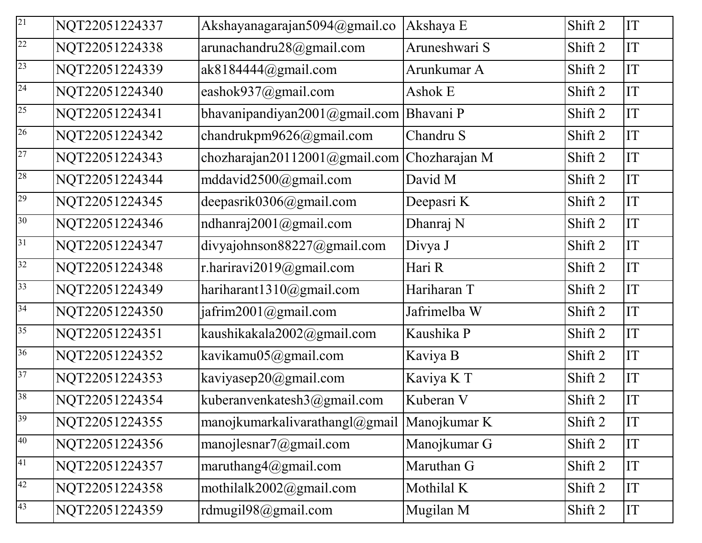| $\overline{21}$ | NQT22051224337 | Akshayanagarajan5094@gmail.co                           | Akshaya E     | Shift 2 | IT |
|-----------------|----------------|---------------------------------------------------------|---------------|---------|----|
| $\overline{22}$ | NQT22051224338 | arunachandru28@gmail.com                                | Aruneshwari S | Shift 2 | IT |
| 23              | NQT22051224339 | ak818444@gmail.com                                      | Arunkumar A   | Shift 2 | IT |
| 24              | NQT22051224340 | eashok937@gmail.com                                     | Ashok E       | Shift 2 | IT |
| 25              | NQT22051224341 | bhavanipandiyan2001@gmail.com                           | Bhavani P     | Shift 2 | IT |
| 26              | NQT22051224342 | chandrukpm9626@gmail.com                                | Chandru S     | Shift 2 | IT |
| 27              | NQT22051224343 | chozharajan20112001@gmail.com                           | Chozharajan M | Shift 2 | IT |
| 28              | NQT22051224344 | mddavid2500@gmail.com                                   | David M       | Shift 2 | IT |
| 29              | NQT22051224345 | deepasrik0306@gmail.com                                 | Deepasri K    | Shift 2 | IT |
| 30              | NQT22051224346 | ndhanraj2001@gmail.com                                  | Dhanraj N     | Shift 2 | IT |
| 31              | NQT22051224347 | divyajohnson88227@gmail.com                             | Divya J       | Shift 2 | IT |
| $\overline{32}$ | NQT22051224348 | r.hariravi2019@gmail.com                                | Hari R        | Shift 2 | IT |
| 33              | NQT22051224349 | hariharant1310 $@g$ mail.com                            | Hariharan T   | Shift 2 | IT |
| 34              | NQT22051224350 | jafrim2001@gmail.com                                    | Jafrimelba W  | Shift 2 | IT |
| 35              | NQT22051224351 | kaushikakala2002@gmail.com                              | Kaushika P    | Shift 2 | IT |
| 36              | NQT22051224352 | kavikamu05@gmail.com                                    | Kaviya B      | Shift 2 | IT |
| 37              | NQT22051224353 | kaviyasep20@gmail.com                                   | Kaviya K T    | Shift 2 | IT |
| 38              | NQT22051224354 | kuberanvenkatesh3@gmail.com                             | Kuberan V     | Shift 2 | IT |
| 39              | NQT22051224355 | manojkumarkalivarathangl $(\omega)$ gmail  Manojkumar K |               | Shift 2 | IT |
| 40              | NQT22051224356 | manojlesnar $7$ @gmail.com                              | Manojkumar G  | Shift 2 | IT |
| 41              | NQT22051224357 | maruthang $4@g$ mail.com                                | Maruthan G    | Shift 2 | IT |
| 42              | NQT22051224358 | mothilalk2002@gmail.com                                 | Mothilal K    | Shift 2 | IT |
| 43              | NQT22051224359 | rdmugil98@gmail.com                                     | Mugilan M     | Shift 2 | IT |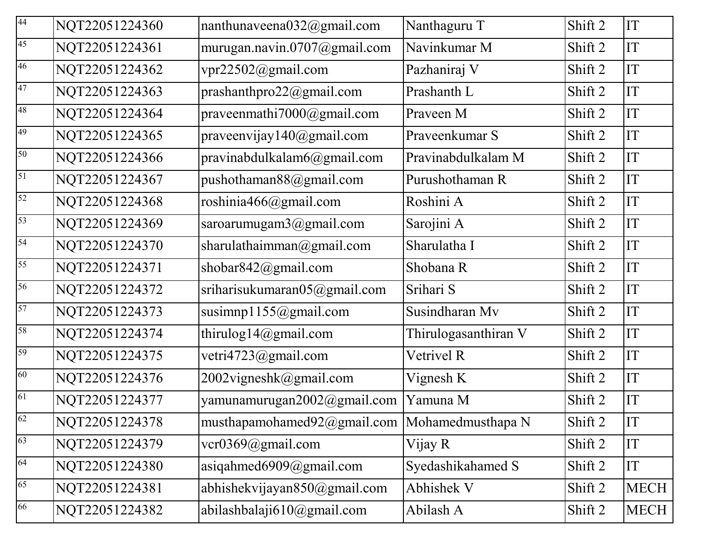| 44 | NQT22051224360 | nanthunaveena $032$ @gmail.com                    | Nanthaguru T         | Shift 2 | IT          |
|----|----------------|---------------------------------------------------|----------------------|---------|-------------|
| 45 | NQT22051224361 | murugan.navin.0707@gmail.com                      | Navinkumar M         | Shift 2 | IT          |
| 46 | NQT22051224362 | vpr22502@gmail.com                                | Pazhaniraj V         | Shift 2 | IT          |
| 47 | NQT22051224363 | prashanthpro22@gmail.com                          | Prashanth L          | Shift 2 | IT          |
| 48 | NQT22051224364 | praveenmathi7000@gmail.com                        | Praveen M            | Shift 2 | IT          |
| 49 | NQT22051224365 | praveenvijay140 $@g$ mail.com                     | Praveenkumar S       | Shift 2 | IT          |
| 50 | NQT22051224366 | pravinabdulkalam6@gmail.com                       | Pravinabdulkalam M   | Shift 2 | IT          |
| 51 | NQT22051224367 | pushothaman88@gmail.com                           | Purushothaman R      | Shift 2 | IT          |
| 52 | NQT22051224368 | roshinia466@gmail.com                             | Roshini A            | Shift 2 | IT          |
| 53 | NQT22051224369 | saroarumugam3@gmail.com                           | Sarojini A           | Shift 2 | IT          |
| 54 | NQT22051224370 | sharulathaimman@gmail.com                         | Sharulatha I         | Shift 2 | IT          |
| 55 | NQT22051224371 | shobar $842$ @gmail.com                           | Shobana R            | Shift 2 | IT          |
| 56 | NQT22051224372 | sriharisukumaran05@gmail.com                      | Srihari S            | Shift 2 | IT          |
| 57 | NQT22051224373 | susimnp1155@gmail.com                             | Susindharan Mv       | Shift 2 | IT          |
| 58 | NQT22051224374 | thirulog14@gmail.com                              | Thirulogasanthiran V | Shift 2 | IT          |
| 59 | NQT22051224375 | vetri4723@gmail.com                               | Vetrivel R           | Shift 2 | IT          |
| 60 | NQT22051224376 | 2002vigneshk@gmail.com                            | Vignesh K            | Shift 2 | IT          |
| 61 | NQT22051224377 | yamunamurugan2002@gmail.com                       | Yamuna M             | Shift 2 | IT          |
| 62 | NQT22051224378 | musthapamohamed $92$ @gmail.com Mohamedmusthapa N |                      | Shift 2 | IT          |
| 63 | NQT22051224379 | $ver0369$ @gmail.com                              | Vijay R              | Shift 2 | IT          |
| 64 | NQT22051224380 | asiqahmed $6909@$ gmail.com                       | Syedashikahamed S    | Shift 2 | IT          |
| 65 | NQT22051224381 | abhishekvijayan850@gmail.com                      | Abhishek V           | Shift 2 | <b>MECH</b> |
| 66 | NQT22051224382 | abilashbalaji610@gmail.com                        | Abilash A            | Shift 2 | <b>MECH</b> |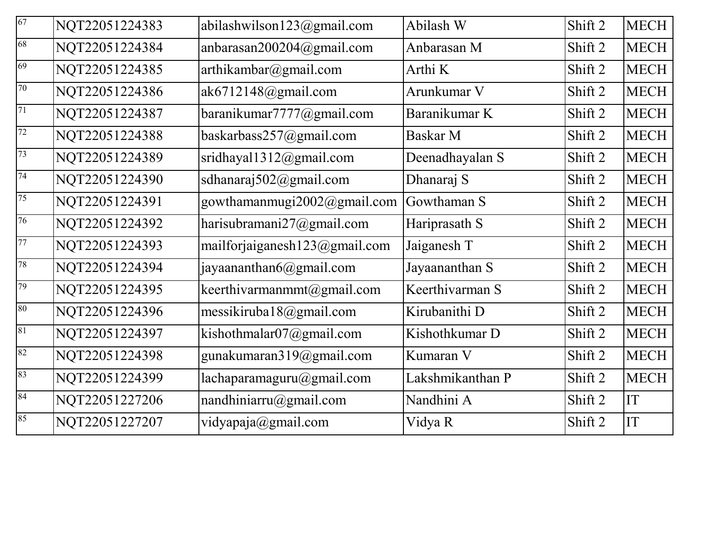| 67     | NQT22051224383 | abilashwilson123@gmail.com    | Abilash W        | Shift 2 | <b>MECH</b> |
|--------|----------------|-------------------------------|------------------|---------|-------------|
| 68     | NQT22051224384 | anbarasan200204@gmail.com     | Anbarasan M      | Shift 2 | <b>MECH</b> |
| 69     | NQT22051224385 | arthikambar@gmail.com         | Arthi K          | Shift 2 | <b>MECH</b> |
| 70     | NQT22051224386 | ak6712148@gmail.com           | Arunkumar V      | Shift 2 | <b>MECH</b> |
| 71     | NQT22051224387 | baranikumar7777@gmail.com     | Baranikumar K    | Shift 2 | <b>MECH</b> |
| 72     | NQT22051224388 | baskarbass257@gmail.com       | Baskar M         | Shift 2 | <b>MECH</b> |
| 73     | NQT22051224389 | sridhayal1312@gmail.com       | Deenadhayalan S  | Shift 2 | <b>MECH</b> |
| 74     | NQT22051224390 | sdhanaraj502@gmail.com        | Dhanaraj S       | Shift 2 | <b>MECH</b> |
| 75     | NQT22051224391 | gowthamanmugi2002@gmail.com   | Gowthaman S      | Shift 2 | <b>MECH</b> |
| 76     | NQT22051224392 | harisubramani27@gmail.com     | Hariprasath S    | Shift 2 | <b>MECH</b> |
| 77     | NQT22051224393 | mailforjaiganesh123@gmail.com | Jaiganesh T      | Shift 2 | <b>MECH</b> |
| 78     | NQT22051224394 | jayaananthan6@gmail.com       | Jayaananthan S   | Shift 2 | <b>MECH</b> |
| 79     | NQT22051224395 | keerthivarmanmmt@gmail.com    | Keerthivarman S  | Shift 2 | <b>MECH</b> |
| $80\,$ | NQT22051224396 | messikiruba18@gmail.com       | Kirubanithi D    | Shift 2 | <b>MECH</b> |
| $81\,$ | NQT22051224397 | kishothmalar $07@g$ mail.com  | Kishothkumar D   | Shift 2 | <b>MECH</b> |
| 82     | NQT22051224398 | gunakumaran319@gmail.com      | Kumaran V        | Shift 2 | <b>MECH</b> |
| 83     | NQT22051224399 | lachaparamaguru@gmail.com     | Lakshmikanthan P | Shift 2 | <b>MECH</b> |
| 84     | NQT22051227206 | nandhiniarru@gmail.com        | Nandhini A       | Shift 2 | IT          |
| 85     | NQT22051227207 | vidyapaja@gmail.com           | Vidya R          | Shift 2 | IT          |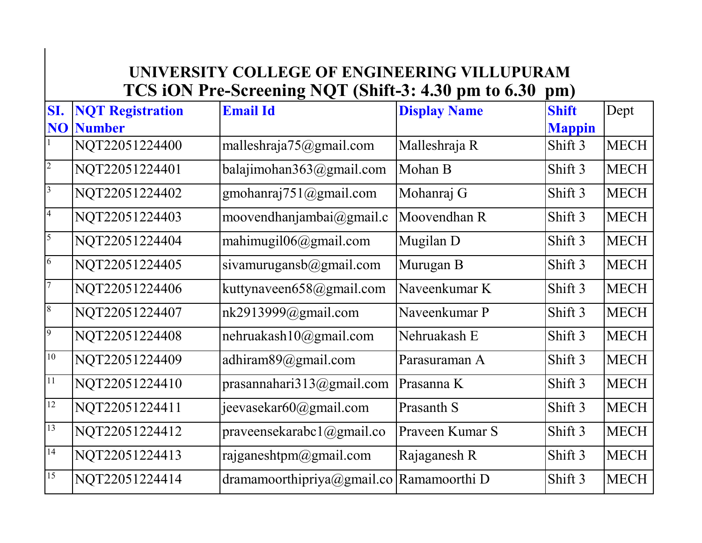# **UNIVERSITY COLLEGE OF ENGINEERING VILLUPURAM TCS iON Pre-Screening NQT (Shift-3: 4.30 pm to 6.30 pm)**

| SI.                      | <b>NQT Registration</b> | <b>Email Id</b>                              | <b>Display Name</b> | <b>Shift</b>  | Dept        |
|--------------------------|-------------------------|----------------------------------------------|---------------------|---------------|-------------|
|                          | <b>NO</b> Number        |                                              |                     | <b>Mappin</b> |             |
|                          | NQT22051224400          | malleshraja75@gmail.com                      | Malleshraja R       | Shift 3       | <b>MECH</b> |
| $\overline{c}$           | NQT22051224401          | balajimohan363@gmail.com                     | Mohan B             | Shift 3       | <b>MECH</b> |
| $\overline{\mathbf{3}}$  | NQT22051224402          | gmohanraj $751$ @gmail.com                   | Mohanraj G          | Shift 3       | <b>MECH</b> |
| $\overline{\mathcal{A}}$ | NQT22051224403          | moovendhanjambai $(\partial \text{gmail.c})$ | Moovendhan R        | Shift 3       | <b>MECH</b> |
| 5                        | NQT22051224404          | mahimugil $06@g$ mail.com                    | Mugilan D           | Shift 3       | <b>MECH</b> |
| $\overline{6}$           | NQT22051224405          | sivamurugansb@gmail.com                      | Murugan B           | Shift 3       | <b>MECH</b> |
| $\overline{7}$           | NQT22051224406          | kuttynaveen658@gmail.com                     | Naveenkumar K       | Shift 3       | <b>MECH</b> |
| 8                        | NQT22051224407          | nk2913999@gmail.com                          | Naveenkumar P       | Shift 3       | <b>MECH</b> |
| 9                        | NQT22051224408          | nehruakash10@gmail.com                       | Nehruakash E        | Shift 3       | <b>MECH</b> |
| $10\,$                   | NQT22051224409          | adhiram89@gmail.com                          | Parasuraman A       | Shift 3       | <b>MECH</b> |
| 11                       | NQT22051224410          | prasannahari $313@g$ mail.com                | Prasanna K          | Shift 3       | <b>MECH</b> |
| 12                       | NQT22051224411          | jeevasekar60@gmail.com                       | Prasanth S          | Shift 3       | <b>MECH</b> |
| 13                       | NQT22051224412          | praveensekarabc1@gmail.co                    | Prayeen Kumar S     | Shift 3       | <b>MECH</b> |
| 14                       | NQT22051224413          | rajganeshtpm@gmail.com                       | Rajaganesh R        | Shift 3       | <b>MECH</b> |
| $\overline{15}$          | NQT22051224414          | dramamoorthipriya@gmail.co                   | Ramamoorthi D       | Shift 3       | <b>MECH</b> |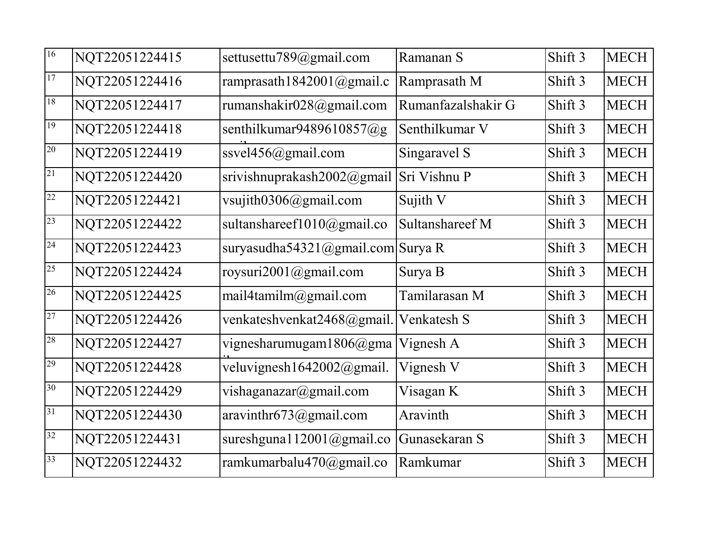| 16 | NQT22051224415 | settusettu789@gmail.com       | Ramanan S          | Shift 3 | <b>MECH</b> |
|----|----------------|-------------------------------|--------------------|---------|-------------|
| 17 | NQT22051224416 | ramprasath1842001@gmail.c     | Ramprasath M       | Shift 3 | <b>MECH</b> |
| 18 | NQT22051224417 | rumanshakir028@gmail.com      | Rumanfazalshakir G | Shift 3 | <b>MECH</b> |
| 19 | NQT22051224418 | senthilkumar9489610857@g      | Senthilkumar V     | Shift 3 | <b>MECH</b> |
| 20 | NQT22051224419 | ssvel $456$ @gmail.com        | Singaravel S       | Shift 3 | <b>MECH</b> |
| 21 | NQT22051224420 | srivishnuprakash2002@gmail    | Sri Vishnu P       | Shift 3 | <b>MECH</b> |
| 22 | NQT22051224421 | vsujith0306@gmail.com         | Sujith V           | Shift 3 | <b>MECH</b> |
| 23 | NQT22051224422 | sultanshareef1010@gmail.co    | Sultanshareef M    | Shift 3 | <b>MECH</b> |
| 24 | NQT22051224423 | suryasudha54321@gmail.com     | Surya R            | Shift 3 | <b>MECH</b> |
| 25 | NQT22051224424 | roysuri2001@gmail.com         | Surya B            | Shift 3 | <b>MECH</b> |
| 26 | NQT22051224425 | mail4tamilm@gmail.com         | Tamilarasan M      | Shift 3 | <b>MECH</b> |
| 27 | NQT22051224426 | venkateshvenkat2468@gmail.    | Venkatesh S        | Shift 3 | <b>MECH</b> |
| 28 | NQT22051224427 | vignesharumugam1806@gma       | Vignesh A          | Shift 3 | <b>MECH</b> |
| 29 | NQT22051224428 | veluvignesh1642002@gmail.     | Vignesh V          | Shift 3 | <b>MECH</b> |
| 30 | NQT22051224429 | vishaganazar@gmail.com        | Visagan K          | Shift 3 | <b>MECH</b> |
| 31 | NQT22051224430 | aravinthr673@gmail.com        | Aravinth           | Shift 3 | <b>MECH</b> |
| 32 | NQT22051224431 | sureshgunal $12001$ @gmail.co | Gunasekaran S      | Shift 3 | <b>MECH</b> |
| 33 | NQT22051224432 | ramkumarbalu470@gmail.co      | Ramkumar           | Shift 3 | <b>MECH</b> |